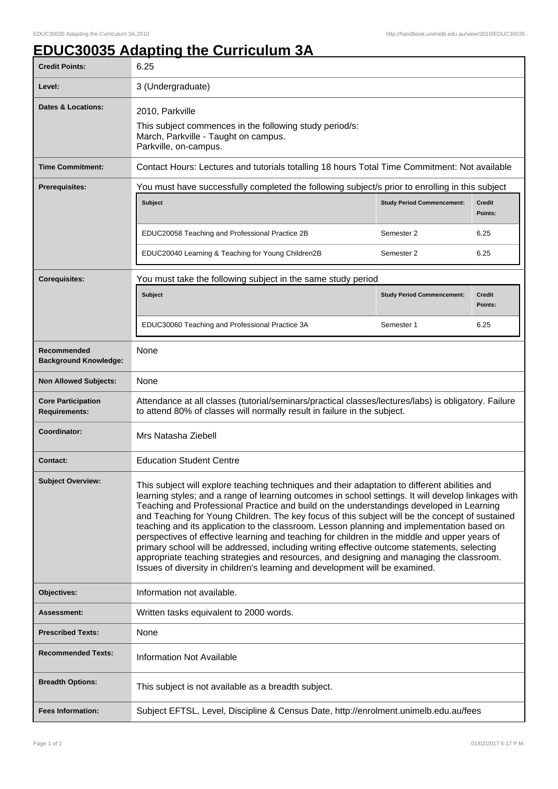## **EDUC30035 Adapting the Curriculum 3A**

| <b>Credit Points:</b>                             | 6.25                                                                                                                                                                                                                                                                                                                                                                                                                                                                                                                                                                                                                                                                                                                                                                                                                                                                          |                                   |                          |
|---------------------------------------------------|-------------------------------------------------------------------------------------------------------------------------------------------------------------------------------------------------------------------------------------------------------------------------------------------------------------------------------------------------------------------------------------------------------------------------------------------------------------------------------------------------------------------------------------------------------------------------------------------------------------------------------------------------------------------------------------------------------------------------------------------------------------------------------------------------------------------------------------------------------------------------------|-----------------------------------|--------------------------|
| Level:                                            | 3 (Undergraduate)                                                                                                                                                                                                                                                                                                                                                                                                                                                                                                                                                                                                                                                                                                                                                                                                                                                             |                                   |                          |
| Dates & Locations:                                | 2010, Parkville<br>This subject commences in the following study period/s:<br>March, Parkville - Taught on campus.<br>Parkville, on-campus.                                                                                                                                                                                                                                                                                                                                                                                                                                                                                                                                                                                                                                                                                                                                   |                                   |                          |
| <b>Time Commitment:</b>                           | Contact Hours: Lectures and tutorials totalling 18 hours Total Time Commitment: Not available                                                                                                                                                                                                                                                                                                                                                                                                                                                                                                                                                                                                                                                                                                                                                                                 |                                   |                          |
| <b>Prerequisites:</b>                             | You must have successfully completed the following subject/s prior to enrolling in this subject                                                                                                                                                                                                                                                                                                                                                                                                                                                                                                                                                                                                                                                                                                                                                                               |                                   |                          |
|                                                   | <b>Subject</b>                                                                                                                                                                                                                                                                                                                                                                                                                                                                                                                                                                                                                                                                                                                                                                                                                                                                | <b>Study Period Commencement:</b> | <b>Credit</b><br>Points: |
|                                                   | EDUC20058 Teaching and Professional Practice 2B                                                                                                                                                                                                                                                                                                                                                                                                                                                                                                                                                                                                                                                                                                                                                                                                                               | Semester 2                        | 6.25                     |
|                                                   | EDUC20040 Learning & Teaching for Young Children2B                                                                                                                                                                                                                                                                                                                                                                                                                                                                                                                                                                                                                                                                                                                                                                                                                            | Semester 2                        | 6.25                     |
| <b>Corequisites:</b>                              | You must take the following subject in the same study period                                                                                                                                                                                                                                                                                                                                                                                                                                                                                                                                                                                                                                                                                                                                                                                                                  |                                   |                          |
|                                                   | <b>Subject</b>                                                                                                                                                                                                                                                                                                                                                                                                                                                                                                                                                                                                                                                                                                                                                                                                                                                                | <b>Study Period Commencement:</b> | <b>Credit</b><br>Points: |
|                                                   | EDUC30060 Teaching and Professional Practice 3A                                                                                                                                                                                                                                                                                                                                                                                                                                                                                                                                                                                                                                                                                                                                                                                                                               | Semester 1                        | 6.25                     |
| Recommended<br><b>Background Knowledge:</b>       | None                                                                                                                                                                                                                                                                                                                                                                                                                                                                                                                                                                                                                                                                                                                                                                                                                                                                          |                                   |                          |
| <b>Non Allowed Subjects:</b>                      | None                                                                                                                                                                                                                                                                                                                                                                                                                                                                                                                                                                                                                                                                                                                                                                                                                                                                          |                                   |                          |
| <b>Core Participation</b><br><b>Requirements:</b> | Attendance at all classes (tutorial/seminars/practical classes/lectures/labs) is obligatory. Failure<br>to attend 80% of classes will normally result in failure in the subject.                                                                                                                                                                                                                                                                                                                                                                                                                                                                                                                                                                                                                                                                                              |                                   |                          |
| Coordinator:                                      | Mrs Natasha Ziebell                                                                                                                                                                                                                                                                                                                                                                                                                                                                                                                                                                                                                                                                                                                                                                                                                                                           |                                   |                          |
| <b>Contact:</b>                                   | <b>Education Student Centre</b>                                                                                                                                                                                                                                                                                                                                                                                                                                                                                                                                                                                                                                                                                                                                                                                                                                               |                                   |                          |
| <b>Subject Overview:</b>                          | This subject will explore teaching techniques and their adaptation to different abilities and<br>learning styles; and a range of learning outcomes in school settings. It will develop linkages with<br>Teaching and Professional Practice and build on the understandings developed in Learning<br>and Teaching for Young Children. The key focus of this subject will be the concept of sustained<br>teaching and its application to the classroom. Lesson planning and implementation based on<br>perspectives of effective learning and teaching for children in the middle and upper years of<br>primary school will be addressed, including writing effective outcome statements, selecting<br>appropriate teaching strategies and resources, and designing and managing the classroom.<br>Issues of diversity in children's learning and development will be examined. |                                   |                          |
| Objectives:                                       | Information not available.                                                                                                                                                                                                                                                                                                                                                                                                                                                                                                                                                                                                                                                                                                                                                                                                                                                    |                                   |                          |
| Assessment:                                       | Written tasks equivalent to 2000 words.                                                                                                                                                                                                                                                                                                                                                                                                                                                                                                                                                                                                                                                                                                                                                                                                                                       |                                   |                          |
| <b>Prescribed Texts:</b>                          | None                                                                                                                                                                                                                                                                                                                                                                                                                                                                                                                                                                                                                                                                                                                                                                                                                                                                          |                                   |                          |
| <b>Recommended Texts:</b>                         | <b>Information Not Available</b>                                                                                                                                                                                                                                                                                                                                                                                                                                                                                                                                                                                                                                                                                                                                                                                                                                              |                                   |                          |
| <b>Breadth Options:</b>                           | This subject is not available as a breadth subject.                                                                                                                                                                                                                                                                                                                                                                                                                                                                                                                                                                                                                                                                                                                                                                                                                           |                                   |                          |
| <b>Fees Information:</b>                          | Subject EFTSL, Level, Discipline & Census Date, http://enrolment.unimelb.edu.au/fees                                                                                                                                                                                                                                                                                                                                                                                                                                                                                                                                                                                                                                                                                                                                                                                          |                                   |                          |